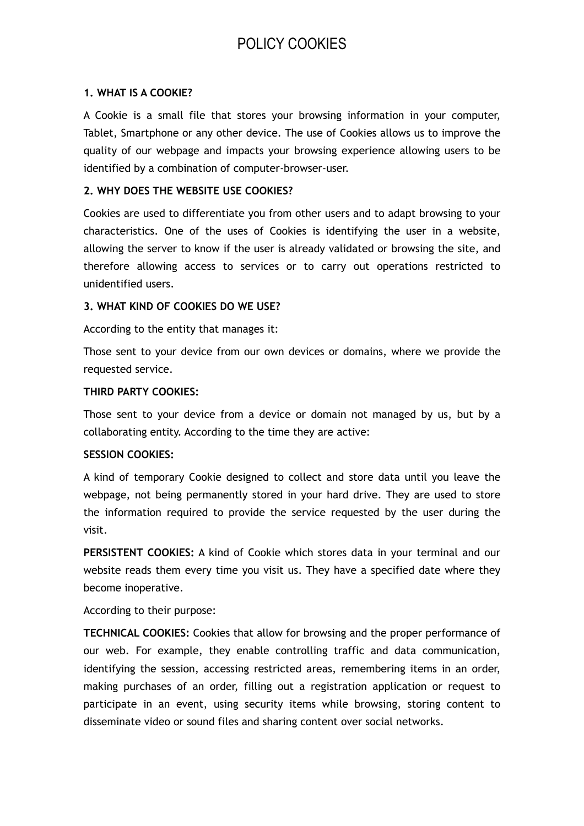# POLICY COOKIES

#### **1. WHAT IS A COOKIE?**

A Cookie is a small file that stores your browsing information in your computer, Tablet, Smartphone or any other device. The use of Cookies allows us to improve the quality of our webpage and impacts your browsing experience allowing users to be identified by a combination of computer-browser-user.

#### **2. WHY DOES THE WEBSITE USE COOKIES?**

Cookies are used to differentiate you from other users and to adapt browsing to your characteristics. One of the uses of Cookies is identifying the user in a website, allowing the server to know if the user is already validated or browsing the site, and therefore allowing access to services or to carry out operations restricted to unidentified users.

#### **3. WHAT KIND OF COOKIES DO WE USE?**

According to the entity that manages it:

Those sent to your device from our own devices or domains, where we provide the requested service.

#### **THIRD PARTY COOKIES:**

Those sent to your device from a device or domain not managed by us, but by a collaborating entity. According to the time they are active:

### **SESSION COOKIES:**

A kind of temporary Cookie designed to collect and store data until you leave the webpage, not being permanently stored in your hard drive. They are used to store the information required to provide the service requested by the user during the visit.

**PERSISTENT COOKIES:** A kind of Cookie which stores data in your terminal and our website reads them every time you visit us. They have a specified date where they become inoperative.

According to their purpose:

**TECHNICAL COOKIES:** Cookies that allow for browsing and the proper performance of our web. For example, they enable controlling traffic and data communication, identifying the session, accessing restricted areas, remembering items in an order, making purchases of an order, filling out a registration application or request to participate in an event, using security items while browsing, storing content to disseminate video or sound files and sharing content over social networks.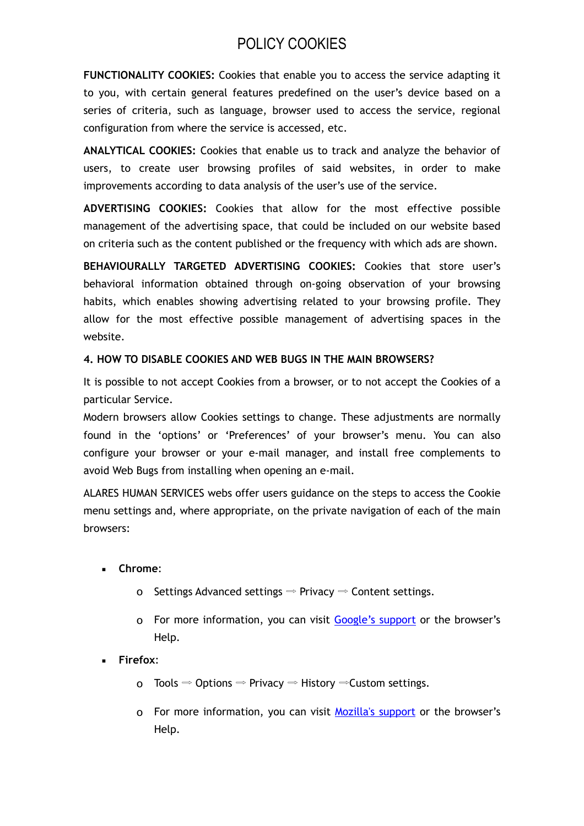# POLICY COOKIES

**FUNCTIONALITY COOKIES:** Cookies that enable you to access the service adapting it to you, with certain general features predefined on the user's device based on a series of criteria, such as language, browser used to access the service, regional configuration from where the service is accessed, etc.

**ANALYTICAL COOKIES:** Cookies that enable us to track and analyze the behavior of users, to create user browsing profiles of said websites, in order to make improvements according to data analysis of the user's use of the service.

**ADVERTISING COOKIES:** Cookies that allow for the most effective possible management of the advertising space, that could be included on our website based on criteria such as the content published or the frequency with which ads are shown.

**BEHAVIOURALLY TARGETED ADVERTISING COOKIES:** Cookies that store user's behavioral information obtained through on-going observation of your browsing habits, which enables showing advertising related to your browsing profile. They allow for the most effective possible management of advertising spaces in the website.

### **4. HOW TO DISABLE COOKIES AND WEB BUGS IN THE MAIN BROWSERS?**

It is possible to not accept Cookies from a browser, or to not accept the Cookies of a particular Service.

Modern browsers allow Cookies settings to change. These adjustments are normally found in the 'options' or 'Preferences' of your browser's menu. You can also configure your browser or your e-mail manager, and install free complements to avoid Web Bugs from installing when opening an e-mail.

ALARES HUMAN SERVICES webs offer users guidance on the steps to access the Cookie menu settings and, where appropriate, on the private navigation of each of the main browsers:

- **Chrome**:
	- o Settings Advanced settings  $\Rightarrow$  Privacy  $\Rightarrow$  Content settings.
	- o For more information, you can visit [Google's support](https://support.google.com/chrome/?hl=en) or the browser's Help.
- **Firefox**:
	- o Tools  $\Rightarrow$  Options  $\Rightarrow$  Privacy  $\Rightarrow$  History  $\Rightarrow$  Custom settings.
	- o For more information, you can visit [Mozilla's support](http://support.mozilla.org/en/home) or the browser's Help.